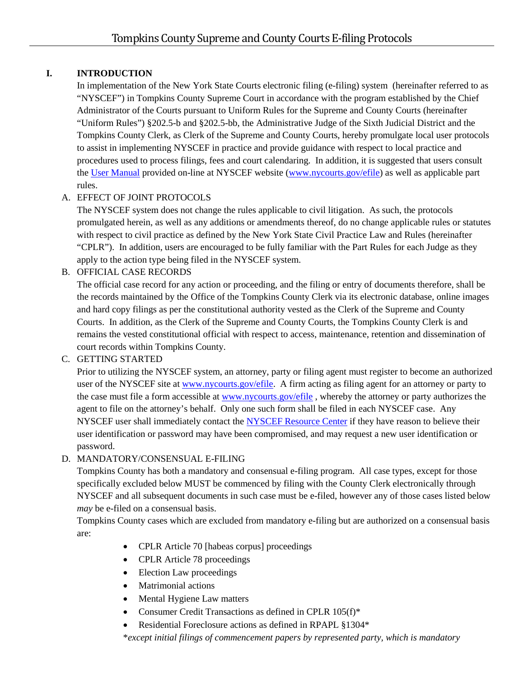## **I. INTRODUCTION**

In implementation of the New York State Courts electronic filing (e-filing) system (hereinafter referred to as "NYSCEF") in Tompkins County Supreme Court in accordance with the program established by the Chief Administrator of the Courts pursuant to Uniform Rules for the Supreme and County Courts (hereinafter "Uniform Rules") §202.5-b and §202.5-bb, the Administrative Judge of the Sixth Judicial District and the Tompkins County Clerk, as Clerk of the Supreme and County Courts, hereby promulgate local user protocols to assist in implementing NYSCEF in practice and provide guidance with respect to local practice and procedures used to process filings, fees and court calendaring. In addition, it is suggested that users consult the [User Manual](https://iappscontent.courts.state.ny.us/NYSCEF/live/training/userManual.pdf) provided on-line at NYSCEF website [\(www.nycourts.gov/efile\)](http://www.nycourts.gov/efile) as well as applicable part rules.

### A. EFFECT OF JOINT PROTOCOLS

The NYSCEF system does not change the rules applicable to civil litigation. As such, the protocols promulgated herein, as well as any additions or amendments thereof, do no change applicable rules or statutes with respect to civil practice as defined by the New York State Civil Practice Law and Rules (hereinafter "CPLR"). In addition, users are encouraged to be fully familiar with the Part Rules for each Judge as they apply to the action type being filed in the NYSCEF system.

B. OFFICIAL CASE RECORDS

The official case record for any action or proceeding, and the filing or entry of documents therefore, shall be the records maintained by the Office of the Tompkins County Clerk via its electronic database, online images and hard copy filings as per the constitutional authority vested as the Clerk of the Supreme and County Courts. In addition, as the Clerk of the Supreme and County Courts, the Tompkins County Clerk is and remains the vested constitutional official with respect to access, maintenance, retention and dissemination of court records within Tompkins County.

#### C. GETTING STARTED

Prior to utilizing the NYSCEF system, an attorney, party or filing agent must register to become an authorized user of the NYSCEF site at [www.nycourts.gov/efile.](http://www.nycourts.gov/efile) A firm acting as filing agent for an attorney or party to the case must file a form accessible at [www.nycourts.gov/efile](http://www.nycourts.gov/efile) , whereby the attorney or party authorizes the agent to file on the attorney's behalf. Only one such form shall be filed in each NYSCEF case. Any NYSCEF user shall immediately contact the [NYSCEF Resource Center](https://iappscontent.courts.state.ny.us/NYSCEF/live/contact.htm) if they have reason to believe their user identification or password may have been compromised, and may request a new user identification or password.

### D. MANDATORY/CONSENSUAL E-FILING

Tompkins County has both a mandatory and consensual e-filing program. All case types, except for those specifically excluded below MUST be commenced by filing with the County Clerk electronically through NYSCEF and all subsequent documents in such case must be e-filed, however any of those cases listed below *may* be e-filed on a consensual basis.

Tompkins County cases which are excluded from mandatory e-filing but are authorized on a consensual basis are:

- CPLR Article 70 [habeas corpus] proceedings
- CPLR Article 78 proceedings
- Election Law proceedings
- Matrimonial actions
- Mental Hygiene Law matters
- Consumer Credit Transactions as defined in CPLR 105(f)\*
- Residential Foreclosure actions as defined in RPAPL §1304\*

\**except initial filings of commencement papers by represented party, which is mandatory*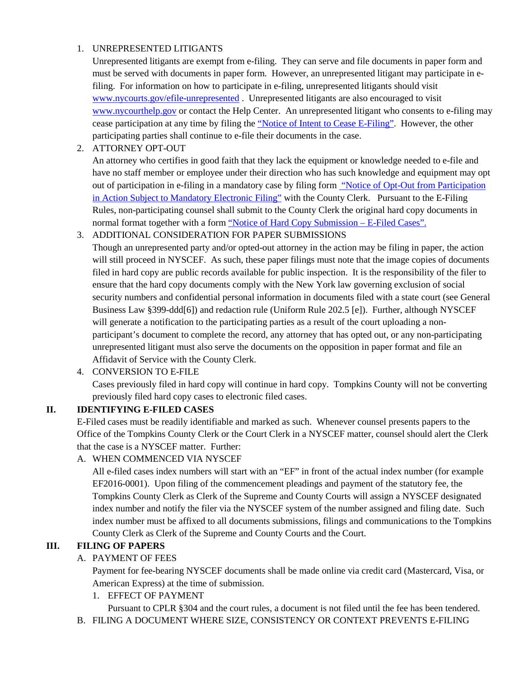#### 1. UNREPRESENTED LITIGANTS

Unrepresented litigants are exempt from e-filing. They can serve and file documents in paper form and must be served with documents in paper form. However, an unrepresented litigant may participate in efiling. For information on how to participate in e-filing, unrepresented litigants should visit [www.nycourts.gov/efile-unrepresented](http://www.nycourts.gov/efile-unrepresented). Unrepresented litigants are also encouraged to visit [www.nycourthelp.gov](http://www.nycourthelp.gov/) or contact the Help Center. An unrepresented litigant who consents to e-filing may cease participation at any time by filing the ["Notice of Intent to Cease E-Filing".](https://iappscontent.courts.state.ny.us/NYSCEF/live/forms/cease.efiling.pdf) However, the other participating parties shall continue to e-file their documents in the case.

### 2. ATTORNEY OPT-OUT

An attorney who certifies in good faith that they lack the equipment or knowledge needed to e-file and have no staff member or employee under their direction who has such knowledge and equipment may opt out of participation in e-filing in a mandatory case by filing form ["Notice of Opt-Out from Participation](https://iappscontent.courts.state.ny.us/NYSCEF/live/forms/notice.of.optout.pdf)  [in Action Subject to Mandatory Electronic Filing"](https://iappscontent.courts.state.ny.us/NYSCEF/live/forms/notice.of.optout.pdf) with the County Clerk. Pursuant to the E-Filing Rules, non-participating counsel shall submit to the County Clerk the original hard copy documents in normal format together with a form ["Notice of Hard Copy Submission –](https://iappscontent.courts.state.ny.us/NYSCEF/live/forms/notice.hard.copy.submission.pdf) E-Filed Cases".

#### 3. ADDITIONAL CONSIDERATION FOR PAPER SUBMISSIONS

Though an unrepresented party and/or opted-out attorney in the action may be filing in paper, the action will still proceed in NYSCEF. As such, these paper filings must note that the image copies of documents filed in hard copy are public records available for public inspection. It is the responsibility of the filer to ensure that the hard copy documents comply with the New York law governing exclusion of social security numbers and confidential personal information in documents filed with a state court (see General Business Law §399-ddd[6]) and redaction rule (Uniform Rule 202.5 [e]). Further, although NYSCEF will generate a notification to the participating parties as a result of the court uploading a nonparticipant's document to complete the record, any attorney that has opted out, or any non-participating unrepresented litigant must also serve the documents on the opposition in paper format and file an Affidavit of Service with the County Clerk.

4. CONVERSION TO E-FILE

Cases previously filed in hard copy will continue in hard copy. Tompkins County will not be converting previously filed hard copy cases to electronic filed cases.

### **II. IDENTIFYING E-FILED CASES**

E-Filed cases must be readily identifiable and marked as such. Whenever counsel presents papers to the Office of the Tompkins County Clerk or the Court Clerk in a NYSCEF matter, counsel should alert the Clerk that the case is a NYSCEF matter. Further:

#### A. WHEN COMMENCED VIA NYSCEF

All e-filed cases index numbers will start with an "EF" in front of the actual index number (for example EF2016-0001). Upon filing of the commencement pleadings and payment of the statutory fee, the Tompkins County Clerk as Clerk of the Supreme and County Courts will assign a NYSCEF designated index number and notify the filer via the NYSCEF system of the number assigned and filing date. Such index number must be affixed to all documents submissions, filings and communications to the Tompkins County Clerk as Clerk of the Supreme and County Courts and the Court.

### **III. FILING OF PAPERS**

#### A. PAYMENT OF FEES

Payment for fee-bearing NYSCEF documents shall be made online via credit card (Mastercard, Visa, or American Express) at the time of submission.

1. EFFECT OF PAYMENT

Pursuant to CPLR §304 and the court rules, a document is not filed until the fee has been tendered.

B. FILING A DOCUMENT WHERE SIZE, CONSISTENCY OR CONTEXT PREVENTS E-FILING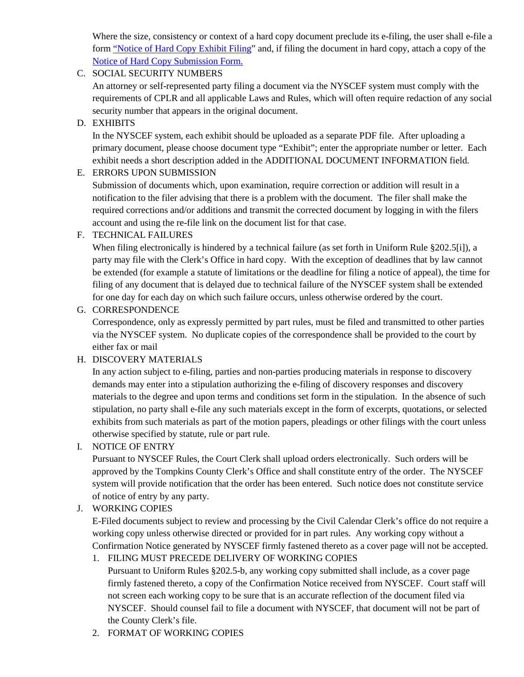Where the size, consistency or context of a hard copy document preclude its e-filing, the user shall e-file a form ["Notice of Hard Copy Exhibit Filing"](https://iappscontent.courts.state.ny.us/NYSCEF/live/forms/notice.hard.copy.exhibit.pdf) and, if filing the document in hard copy, attach a copy of the [Notice of Hard Copy Submission Form.](https://iappscontent.courts.state.ny.us/NYSCEF/live/forms/notice.hard.copy.submission.pdf)

C. SOCIAL SECURITY NUMBERS

An attorney or self-represented party filing a document via the NYSCEF system must comply with the requirements of CPLR and all applicable Laws and Rules, which will often require redaction of any social security number that appears in the original document.

D. EXHIBITS

In the NYSCEF system, each exhibit should be uploaded as a separate PDF file. After uploading a primary document, please choose document type "Exhibit"; enter the appropriate number or letter. Each exhibit needs a short description added in the ADDITIONAL DOCUMENT INFORMATION field.

#### E. ERRORS UPON SUBMISSION

Submission of documents which, upon examination, require correction or addition will result in a notification to the filer advising that there is a problem with the document. The filer shall make the required corrections and/or additions and transmit the corrected document by logging in with the filers account and using the re-file link on the document list for that case.

#### F. TECHNICAL FAILURES

When filing electronically is hindered by a technical failure (as set forth in Uniform Rule §202.5[i]), a party may file with the Clerk's Office in hard copy. With the exception of deadlines that by law cannot be extended (for example a statute of limitations or the deadline for filing a notice of appeal), the time for filing of any document that is delayed due to technical failure of the NYSCEF system shall be extended for one day for each day on which such failure occurs, unless otherwise ordered by the court.

### G. CORRESPONDENCE

Correspondence, only as expressly permitted by part rules, must be filed and transmitted to other parties via the NYSCEF system. No duplicate copies of the correspondence shall be provided to the court by either fax or mail

### H. DISCOVERY MATERIALS

In any action subject to e-filing, parties and non-parties producing materials in response to discovery demands may enter into a stipulation authorizing the e-filing of discovery responses and discovery materials to the degree and upon terms and conditions set form in the stipulation. In the absence of such stipulation, no party shall e-file any such materials except in the form of excerpts, quotations, or selected exhibits from such materials as part of the motion papers, pleadings or other filings with the court unless otherwise specified by statute, rule or part rule.

#### I. NOTICE OF ENTRY

Pursuant to NYSCEF Rules, the Court Clerk shall upload orders electronically. Such orders will be approved by the Tompkins County Clerk's Office and shall constitute entry of the order. The NYSCEF system will provide notification that the order has been entered. Such notice does not constitute service of notice of entry by any party.

#### J. WORKING COPIES

E-Filed documents subject to review and processing by the Civil Calendar Clerk's office do not require a working copy unless otherwise directed or provided for in part rules. Any working copy without a Confirmation Notice generated by NYSCEF firmly fastened thereto as a cover page will not be accepted.

#### 1. FILING MUST PRECEDE DELIVERY OF WORKING COPIES

Pursuant to Uniform Rules §202.5-b, any working copy submitted shall include, as a cover page firmly fastened thereto, a copy of the Confirmation Notice received from NYSCEF. Court staff will not screen each working copy to be sure that is an accurate reflection of the document filed via NYSCEF. Should counsel fail to file a document with NYSCEF, that document will not be part of the County Clerk's file.

2. FORMAT OF WORKING COPIES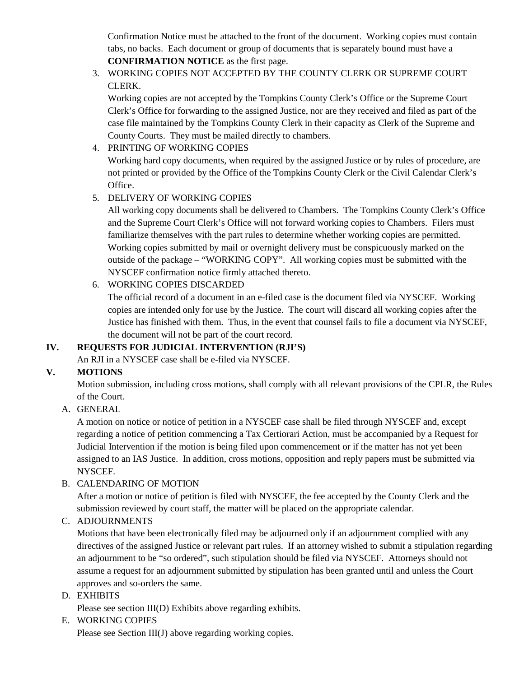Confirmation Notice must be attached to the front of the document. Working copies must contain tabs, no backs. Each document or group of documents that is separately bound must have a **CONFIRMATION NOTICE** as the first page.

3. WORKING COPIES NOT ACCEPTED BY THE COUNTY CLERK OR SUPREME COURT CLERK.

Working copies are not accepted by the Tompkins County Clerk's Office or the Supreme Court Clerk's Office for forwarding to the assigned Justice, nor are they received and filed as part of the case file maintained by the Tompkins County Clerk in their capacity as Clerk of the Supreme and County Courts. They must be mailed directly to chambers.

4. PRINTING OF WORKING COPIES Working hard copy documents, when required by the assigned Justice or by rules of procedure, are not printed or provided by the Office of the Tompkins County Clerk or the Civil Calendar Clerk's Office.

### 5. DELIVERY OF WORKING COPIES

All working copy documents shall be delivered to Chambers. The Tompkins County Clerk's Office and the Supreme Court Clerk's Office will not forward working copies to Chambers. Filers must familiarize themselves with the part rules to determine whether working copies are permitted. Working copies submitted by mail or overnight delivery must be conspicuously marked on the outside of the package – "WORKING COPY". All working copies must be submitted with the NYSCEF confirmation notice firmly attached thereto.

### 6. WORKING COPIES DISCARDED

The official record of a document in an e-filed case is the document filed via NYSCEF. Working copies are intended only for use by the Justice. The court will discard all working copies after the Justice has finished with them. Thus, in the event that counsel fails to file a document via NYSCEF, the document will not be part of the court record.

# **IV. REQUESTS FOR JUDICIAL INTERVENTION (RJI'S)**

An RJI in a NYSCEF case shall be e-filed via NYSCEF.

### **V. MOTIONS**

Motion submission, including cross motions, shall comply with all relevant provisions of the CPLR, the Rules of the Court.

### A. GENERAL

A motion on notice or notice of petition in a NYSCEF case shall be filed through NYSCEF and, except regarding a notice of petition commencing a Tax Certiorari Action, must be accompanied by a Request for Judicial Intervention if the motion is being filed upon commencement or if the matter has not yet been assigned to an IAS Justice. In addition, cross motions, opposition and reply papers must be submitted via NYSCEF.

### B. CALENDARING OF MOTION

After a motion or notice of petition is filed with NYSCEF, the fee accepted by the County Clerk and the submission reviewed by court staff, the matter will be placed on the appropriate calendar.

### C. ADJOURNMENTS

Motions that have been electronically filed may be adjourned only if an adjournment complied with any directives of the assigned Justice or relevant part rules. If an attorney wished to submit a stipulation regarding an adjournment to be "so ordered", such stipulation should be filed via NYSCEF. Attorneys should not assume a request for an adjournment submitted by stipulation has been granted until and unless the Court approves and so-orders the same.

### D. EXHIBITS

Please see section III(D) Exhibits above regarding exhibits.

### E. WORKING COPIES

Please see Section III(J) above regarding working copies.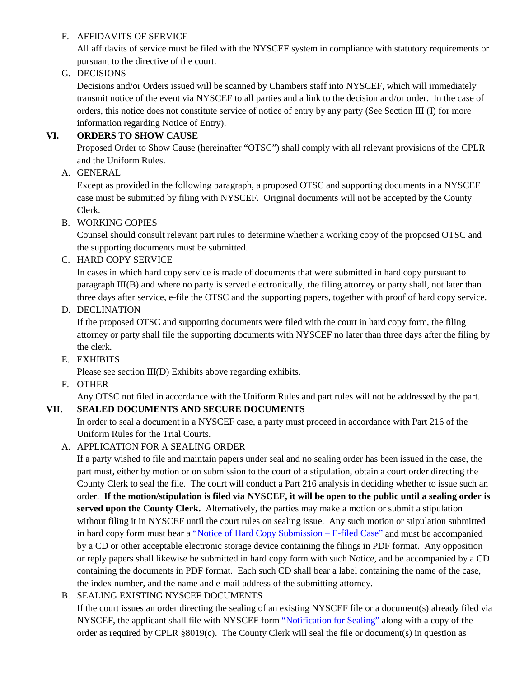#### F. AFFIDAVITS OF SERVICE

All affidavits of service must be filed with the NYSCEF system in compliance with statutory requirements or pursuant to the directive of the court.

### G. DECISIONS

Decisions and/or Orders issued will be scanned by Chambers staff into NYSCEF, which will immediately transmit notice of the event via NYSCEF to all parties and a link to the decision and/or order. In the case of orders, this notice does not constitute service of notice of entry by any party (See Section III (I) for more information regarding Notice of Entry).

### **VI. ORDERS TO SHOW CAUSE**

Proposed Order to Show Cause (hereinafter "OTSC") shall comply with all relevant provisions of the CPLR and the Uniform Rules.

A. GENERAL

Except as provided in the following paragraph, a proposed OTSC and supporting documents in a NYSCEF case must be submitted by filing with NYSCEF. Original documents will not be accepted by the County Clerk.

## B. WORKING COPIES

Counsel should consult relevant part rules to determine whether a working copy of the proposed OTSC and the supporting documents must be submitted.

## C. HARD COPY SERVICE

In cases in which hard copy service is made of documents that were submitted in hard copy pursuant to paragraph III(B) and where no party is served electronically, the filing attorney or party shall, not later than three days after service, e-file the OTSC and the supporting papers, together with proof of hard copy service.

D. DECLINATION

If the proposed OTSC and supporting documents were filed with the court in hard copy form, the filing attorney or party shall file the supporting documents with NYSCEF no later than three days after the filing by the clerk.

E. EXHIBITS

Please see section III(D) Exhibits above regarding exhibits.

F. OTHER

Any OTSC not filed in accordance with the Uniform Rules and part rules will not be addressed by the part. **VII. SEALED DOCUMENTS AND SECURE DOCUMENTS**

In order to seal a document in a NYSCEF case, a party must proceed in accordance with Part 216 of the Uniform Rules for the Trial Courts.

A. APPLICATION FOR A SEALING ORDER

If a party wished to file and maintain papers under seal and no sealing order has been issued in the case, the part must, either by motion or on submission to the court of a stipulation, obtain a court order directing the County Clerk to seal the file. The court will conduct a Part 216 analysis in deciding whether to issue such an order. **If the motion/stipulation is filed via NYSCEF, it will be open to the public until a sealing order is served upon the County Clerk.** Alternatively, the parties may make a motion or submit a stipulation without filing it in NYSCEF until the court rules on sealing issue. Any such motion or stipulation submitted in hard copy form must bear a ["Notice of Hard Copy Submission –](https://iappscontent.courts.state.ny.us/NYSCEF/live/forms/notice.hard.copy.submission.pdf) E-filed Case" and must be accompanied by a CD or other acceptable electronic storage device containing the filings in PDF format. Any opposition or reply papers shall likewise be submitted in hard copy form with such Notice, and be accompanied by a CD containing the documents in PDF format. Each such CD shall bear a label containing the name of the case, the index number, and the name and e-mail address of the submitting attorney.

B. SEALING EXISTING NYSCEF DOCUMENTS

If the court issues an order directing the sealing of an existing NYSCEF file or a document(s) already filed via NYSCEF, the applicant shall file with NYSCEF form ["Notification for Sealing"](https://iappscontent.courts.state.ny.us/NYSCEF/live/forms/notification.for.sealing.pdf) along with a copy of the order as required by CPLR §8019(c). The County Clerk will seal the file or document(s) in question as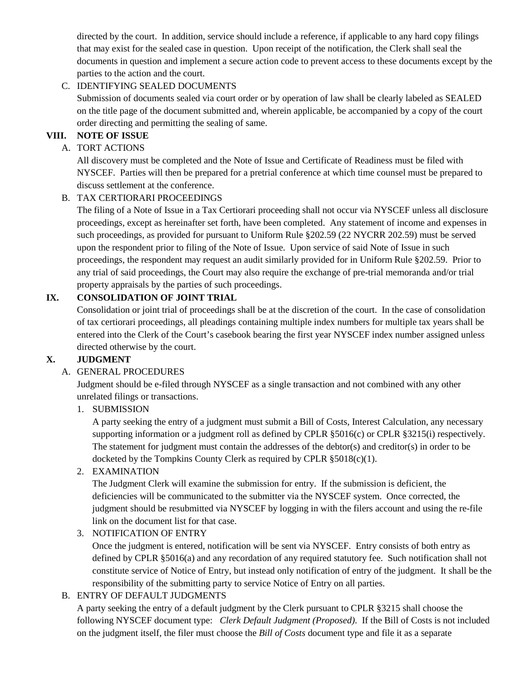directed by the court. In addition, service should include a reference, if applicable to any hard copy filings that may exist for the sealed case in question. Upon receipt of the notification, the Clerk shall seal the documents in question and implement a secure action code to prevent access to these documents except by the parties to the action and the court.

### C. IDENTIFYING SEALED DOCUMENTS

Submission of documents sealed via court order or by operation of law shall be clearly labeled as SEALED on the title page of the document submitted and, wherein applicable, be accompanied by a copy of the court order directing and permitting the sealing of same.

#### **VIII. NOTE OF ISSUE**

#### A. TORT ACTIONS

All discovery must be completed and the Note of Issue and Certificate of Readiness must be filed with NYSCEF. Parties will then be prepared for a pretrial conference at which time counsel must be prepared to discuss settlement at the conference.

#### B. TAX CERTIORARI PROCEEDINGS

The filing of a Note of Issue in a Tax Certiorari proceeding shall not occur via NYSCEF unless all disclosure proceedings, except as hereinafter set forth, have been completed. Any statement of income and expenses in such proceedings, as provided for pursuant to Uniform Rule §202.59 (22 NYCRR 202.59) must be served upon the respondent prior to filing of the Note of Issue. Upon service of said Note of Issue in such proceedings, the respondent may request an audit similarly provided for in Uniform Rule §202.59. Prior to any trial of said proceedings, the Court may also require the exchange of pre-trial memoranda and/or trial property appraisals by the parties of such proceedings.

#### **IX. CONSOLIDATION OF JOINT TRIAL**

Consolidation or joint trial of proceedings shall be at the discretion of the court. In the case of consolidation of tax certiorari proceedings, all pleadings containing multiple index numbers for multiple tax years shall be entered into the Clerk of the Court's casebook bearing the first year NYSCEF index number assigned unless directed otherwise by the court.

### **X. JUDGMENT**

### A. GENERAL PROCEDURES

Judgment should be e-filed through NYSCEF as a single transaction and not combined with any other unrelated filings or transactions.

#### 1. SUBMISSION

A party seeking the entry of a judgment must submit a Bill of Costs, Interest Calculation, any necessary supporting information or a judgment roll as defined by CPLR §5016(c) or CPLR §3215(i) respectively. The statement for judgment must contain the addresses of the debtor(s) and creditor(s) in order to be docketed by the Tompkins County Clerk as required by CPLR §5018(c)(1).

#### 2. EXAMINATION

The Judgment Clerk will examine the submission for entry. If the submission is deficient, the deficiencies will be communicated to the submitter via the NYSCEF system. Once corrected, the judgment should be resubmitted via NYSCEF by logging in with the filers account and using the re-file link on the document list for that case.

#### 3. NOTIFICATION OF ENTRY

Once the judgment is entered, notification will be sent via NYSCEF. Entry consists of both entry as defined by CPLR §5016(a) and any recordation of any required statutory fee. Such notification shall not constitute service of Notice of Entry, but instead only notification of entry of the judgment. It shall be the responsibility of the submitting party to service Notice of Entry on all parties.

### B. ENTRY OF DEFAULT JUDGMENTS

A party seeking the entry of a default judgment by the Clerk pursuant to CPLR §3215 shall choose the following NYSCEF document type: *Clerk Default Judgment (Proposed)*. If the Bill of Costs is not included on the judgment itself, the filer must choose the *Bill of Costs* document type and file it as a separate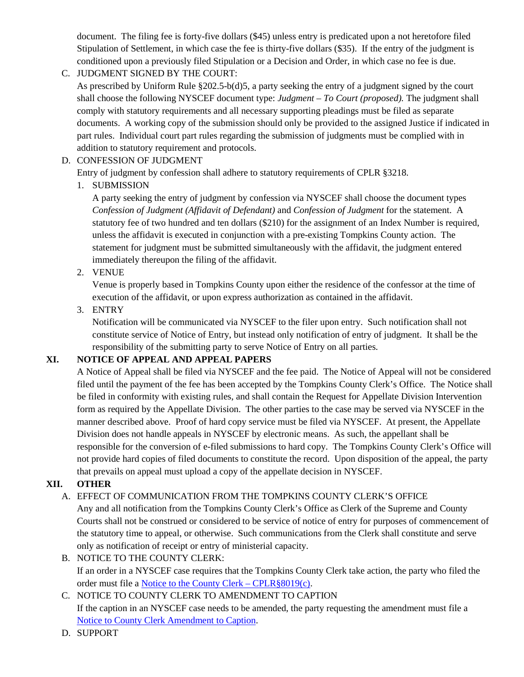document. The filing fee is forty-five dollars (\$45) unless entry is predicated upon a not heretofore filed Stipulation of Settlement, in which case the fee is thirty-five dollars (\$35). If the entry of the judgment is conditioned upon a previously filed Stipulation or a Decision and Order, in which case no fee is due.

C. JUDGMENT SIGNED BY THE COURT:

As prescribed by Uniform Rule §202.5-b(d)5, a party seeking the entry of a judgment signed by the court shall choose the following NYSCEF document type: *Judgment – To Court (proposed).* The judgment shall comply with statutory requirements and all necessary supporting pleadings must be filed as separate documents. A working copy of the submission should only be provided to the assigned Justice if indicated in part rules. Individual court part rules regarding the submission of judgments must be complied with in addition to statutory requirement and protocols.

D. CONFESSION OF JUDGMENT

Entry of judgment by confession shall adhere to statutory requirements of CPLR §3218.

1. SUBMISSION

A party seeking the entry of judgment by confession via NYSCEF shall choose the document types *Confession of Judgment (Affidavit of Defendant)* and *Confession of Judgment* for the statement. A statutory fee of two hundred and ten dollars (\$210) for the assignment of an Index Number is required, unless the affidavit is executed in conjunction with a pre-existing Tompkins County action. The statement for judgment must be submitted simultaneously with the affidavit, the judgment entered immediately thereupon the filing of the affidavit.

2. VENUE

Venue is properly based in Tompkins County upon either the residence of the confessor at the time of execution of the affidavit, or upon express authorization as contained in the affidavit.

# 3. ENTRY

Notification will be communicated via NYSCEF to the filer upon entry. Such notification shall not constitute service of Notice of Entry, but instead only notification of entry of judgment. It shall be the responsibility of the submitting party to serve Notice of Entry on all parties.

# **XI. NOTICE OF APPEAL AND APPEAL PAPERS**

A Notice of Appeal shall be filed via NYSCEF and the fee paid. The Notice of Appeal will not be considered filed until the payment of the fee has been accepted by the Tompkins County Clerk's Office. The Notice shall be filed in conformity with existing rules, and shall contain the Request for Appellate Division Intervention form as required by the Appellate Division. The other parties to the case may be served via NYSCEF in the manner described above. Proof of hard copy service must be filed via NYSCEF. At present, the Appellate Division does not handle appeals in NYSCEF by electronic means. As such, the appellant shall be responsible for the conversion of e-filed submissions to hard copy. The Tompkins County Clerk's Office will not provide hard copies of filed documents to constitute the record. Upon disposition of the appeal, the party that prevails on appeal must upload a copy of the appellate decision in NYSCEF.

# **XII. OTHER**

# A. EFFECT OF COMMUNICATION FROM THE TOMPKINS COUNTY CLERK'S OFFICE

Any and all notification from the Tompkins County Clerk's Office as Clerk of the Supreme and County Courts shall not be construed or considered to be service of notice of entry for purposes of commencement of the statutory time to appeal, or otherwise. Such communications from the Clerk shall constitute and serve only as notification of receipt or entry of ministerial capacity.

- B. NOTICE TO THE COUNTY CLERK: If an order in a NYSCEF case requires that the Tompkins County Clerk take action, the party who filed the order must file a [Notice to the County Clerk –](https://iappscontent.courts.state.ny.us/NYSCEF/live/forms/notice.to.county.clerk.pdf) CPLR§8019(c).
- C. NOTICE TO COUNTY CLERK TO AMENDMENT TO CAPTION If the caption in an NYSCEF case needs to be amended, the party requesting the amendment must file a [Notice to County Clerk Amendment to Caption.](https://iappscontent.courts.state.ny.us/NYSCEF/live/forms/notice.county.clerk.amend.caption.pdf)
- D. SUPPORT